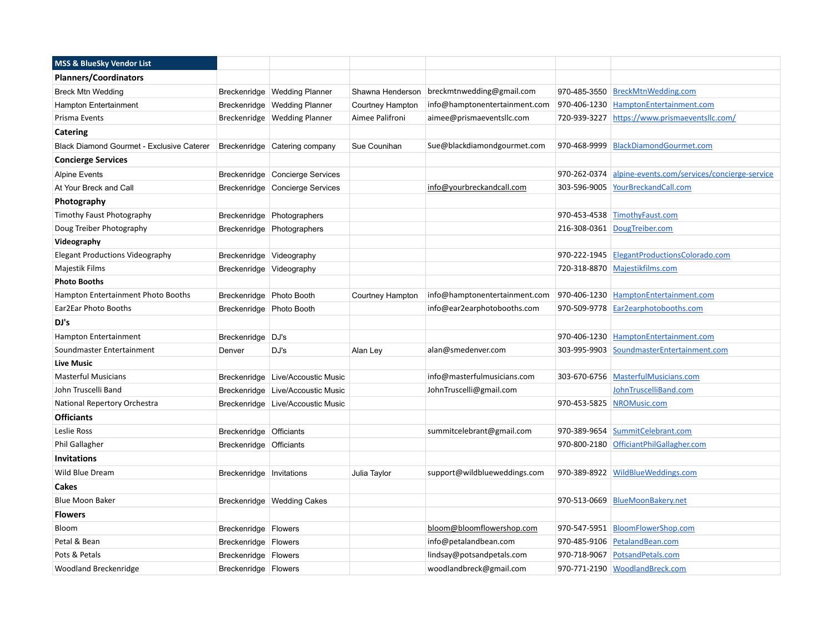| <b>MSS &amp; BlueSky Vendor List</b>      |                            |                                   |                  |                               |              |                                               |
|-------------------------------------------|----------------------------|-----------------------------------|------------------|-------------------------------|--------------|-----------------------------------------------|
| <b>Planners/Coordinators</b>              |                            |                                   |                  |                               |              |                                               |
| <b>Breck Mtn Wedding</b>                  |                            | Breckenridge   Wedding Planner    | Shawna Henderson | breckmtnwedding@gmail.com     |              | 970-485-3550 BreckMtnWedding.com              |
| Hampton Entertainment                     |                            | Breckenridge Wedding Planner      | Courtney Hampton | info@hamptonentertainment.com |              | 970-406-1230 HamptonEntertainment.com         |
| Prisma Events                             |                            | Breckenridge   Wedding Planner    | Aimee Palifroni  | aimee@prismaeventsllc.com     |              | 720-939-3227 https://www.prismaeventsllc.com/ |
| <b>Catering</b>                           |                            |                                   |                  |                               |              |                                               |
| Black Diamond Gourmet - Exclusive Caterer |                            | Breckenridge Catering company     | Sue Counihan     | Sue@blackdiamondgourmet.com   |              | 970-468-9999 BlackDiamondGourmet.com          |
| <b>Concierge Services</b>                 |                            |                                   |                  |                               |              |                                               |
| <b>Alpine Events</b>                      |                            | Breckenridge Concierge Services   |                  |                               | 970-262-0374 | alpine-events.com/services/concierge-service  |
| At Your Breck and Call                    |                            | Breckenridge Concierge Services   |                  | info@yourbreckandcall.com     |              | 303-596-9005 YourBreckandCall.com             |
| Photography                               |                            |                                   |                  |                               |              |                                               |
| Timothy Faust Photography                 |                            | Breckenridge Photographers        |                  |                               |              | 970-453-4538 TimothyFaust.com                 |
| Doug Treiber Photography                  |                            | Breckenridge Photographers        |                  |                               |              | 216-308-0361 DougTreiber.com                  |
| Videography                               |                            |                                   |                  |                               |              |                                               |
| <b>Elegant Productions Videography</b>    | Breckenridge Videography   |                                   |                  |                               |              | 970-222-1945 ElegantProductionsColorado.com   |
| Majestik Films                            |                            | Breckenridge Videography          |                  |                               |              | 720-318-8870 Majestikfilms.com                |
| <b>Photo Booths</b>                       |                            |                                   |                  |                               |              |                                               |
| Hampton Entertainment Photo Booths        | Breckenridge   Photo Booth |                                   | Courtney Hampton | info@hamptonentertainment.com |              | 970-406-1230 HamptonEntertainment.com         |
| Ear2Ear Photo Booths                      | Breckenridge Photo Booth   |                                   |                  | info@ear2earphotobooths.com   |              | 970-509-9778 Ear2earphotobooths.com           |
| DJ's                                      |                            |                                   |                  |                               |              |                                               |
| Hampton Entertainment                     | Breckenridge   DJ's        |                                   |                  |                               |              | 970-406-1230 HamptonEntertainment.com         |
| Soundmaster Entertainment                 | Denver                     | DJ's                              | Alan Ley         | alan@smedenver.com            |              | 303-995-9903 SoundmasterEntertainment.com     |
| <b>Live Music</b>                         |                            |                                   |                  |                               |              |                                               |
| <b>Masterful Musicians</b>                |                            | Breckenridge Live/Accoustic Music |                  | info@masterfulmusicians.com   |              | 303-670-6756 MasterfulMusicians.com           |
| John Truscelli Band                       | Breckenridge               | Live/Accoustic Music              |                  | JohnTruscelli@gmail.com       |              | JohnTruscelliBand.com                         |
| National Repertory Orchestra              |                            | Breckenridge Live/Accoustic Music |                  |                               |              | 970-453-5825 NROMusic.com                     |
| <b>Officiants</b>                         |                            |                                   |                  |                               |              |                                               |
| Leslie Ross                               | Breckenridge Officiants    |                                   |                  | summitcelebrant@gmail.com     | 970-389-9654 | SummitCelebrant.com                           |
| Phil Gallagher                            | Breckenridge Officiants    |                                   |                  |                               |              | 970-800-2180 OfficiantPhilGallagher.com       |
| <b>Invitations</b>                        |                            |                                   |                  |                               |              |                                               |
| Wild Blue Dream                           | Breckenridge   Invitations |                                   | Julia Taylor     | support@wildblueweddings.com  |              | 970-389-8922 WildBlueWeddings.com             |
| Cakes                                     |                            |                                   |                  |                               |              |                                               |
| <b>Blue Moon Baker</b>                    |                            | Breckenridge   Wedding Cakes      |                  |                               |              | 970-513-0669 BlueMoonBakery.net               |
| <b>Flowers</b>                            |                            |                                   |                  |                               |              |                                               |
| Bloom                                     | Breckenridge   Flowers     |                                   |                  | bloom@bloomflowershop.com     |              | 970-547-5951 BloomFlowerShop.com              |
| Petal & Bean                              | Breckenridge   Flowers     |                                   |                  | info@petalandbean.com         |              | 970-485-9106 PetalandBean.com                 |
| Pots & Petals                             | Breckenridge   Flowers     |                                   |                  | lindsay@potsandpetals.com     |              | 970-718-9067 PotsandPetals.com                |
| Woodland Breckenridge                     | Breckenridge   Flowers     |                                   |                  | woodlandbreck@gmail.com       |              | 970-771-2190 WoodlandBreck.com                |